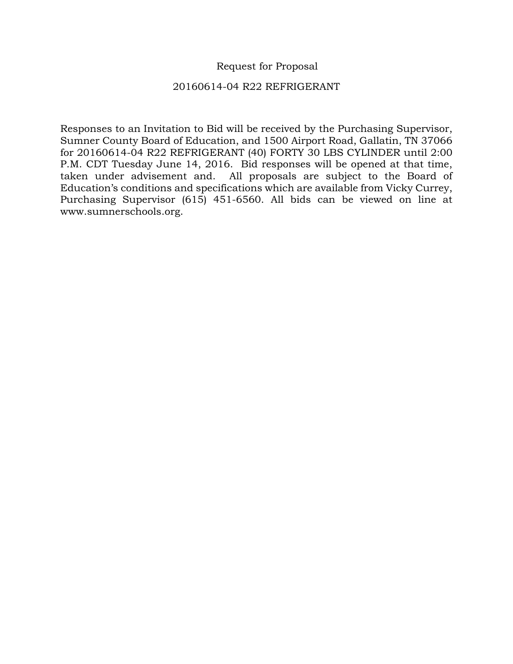## Request for Proposal

## 20160614-04 R22 REFRIGERANT

Responses to an Invitation to Bid will be received by the Purchasing Supervisor, Sumner County Board of Education, and 1500 Airport Road, Gallatin, TN 37066 for 20160614-04 R22 REFRIGERANT (40) FORTY 30 LBS CYLINDER until 2:00 P.M. CDT Tuesday June 14, 2016. Bid responses will be opened at that time, taken under advisement and. All proposals are subject to the Board of Education's conditions and specifications which are available from Vicky Currey, Purchasing Supervisor (615) 451-6560. All bids can be viewed on line at www.sumnerschools.org.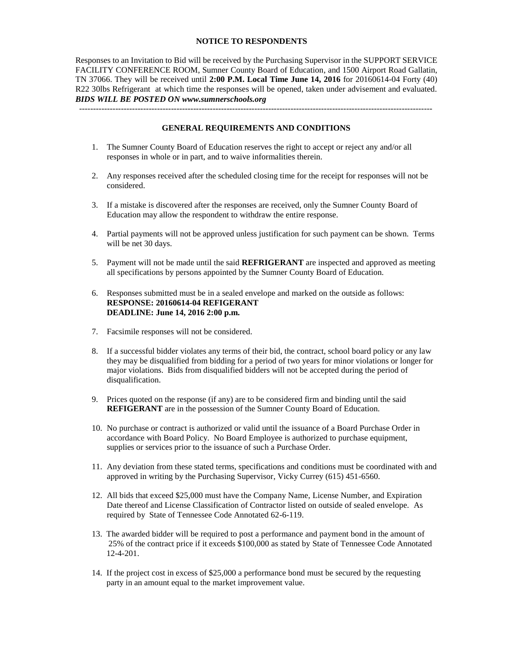## **NOTICE TO RESPONDENTS**

Responses to an Invitation to Bid will be received by the Purchasing Supervisor in the SUPPORT SERVICE FACILITY CONFERENCE ROOM, Sumner County Board of Education, and 1500 Airport Road Gallatin, TN 37066. They will be received until **2:00 P.M. Local Time June 14, 2016** for 20160614-04 Forty (40) R22 30lbs Refrigerant at which time the responses will be opened, taken under advisement and evaluated. *BIDS WILL BE POSTED ON www.sumnerschools.org*

**GENERAL REQUIREMENTS AND CONDITIONS**

-------------------------------------------------------------------------------------------------------------------------------

- 1. The Sumner County Board of Education reserves the right to accept or reject any and/or all responses in whole or in part, and to waive informalities therein.
- 2. Any responses received after the scheduled closing time for the receipt for responses will not be considered.
- 3. If a mistake is discovered after the responses are received, only the Sumner County Board of Education may allow the respondent to withdraw the entire response.
- 4. Partial payments will not be approved unless justification for such payment can be shown. Terms will be net 30 days.
- 5. Payment will not be made until the said **REFRIGERANT** are inspected and approved as meeting all specifications by persons appointed by the Sumner County Board of Education.
- 6. Responses submitted must be in a sealed envelope and marked on the outside as follows: **RESPONSE: 20160614-04 REFIGERANT DEADLINE: June 14, 2016 2:00 p.m.**
- 7. Facsimile responses will not be considered.
- 8. If a successful bidder violates any terms of their bid, the contract, school board policy or any law they may be disqualified from bidding for a period of two years for minor violations or longer for major violations. Bids from disqualified bidders will not be accepted during the period of disqualification.
- 9. Prices quoted on the response (if any) are to be considered firm and binding until the said **REFIGERANT** are in the possession of the Sumner County Board of Education.
- 10. No purchase or contract is authorized or valid until the issuance of a Board Purchase Order in accordance with Board Policy. No Board Employee is authorized to purchase equipment, supplies or services prior to the issuance of such a Purchase Order.
- 11. Any deviation from these stated terms, specifications and conditions must be coordinated with and approved in writing by the Purchasing Supervisor, Vicky Currey (615) 451-6560.
- 12. All bids that exceed \$25,000 must have the Company Name, License Number, and Expiration Date thereof and License Classification of Contractor listed on outside of sealed envelope. As required by State of Tennessee Code Annotated 62-6-119.
- 13. The awarded bidder will be required to post a performance and payment bond in the amount of 25% of the contract price if it exceeds \$100,000 as stated by State of Tennessee Code Annotated 12-4-201.
- 14. If the project cost in excess of \$25,000 a performance bond must be secured by the requesting party in an amount equal to the market improvement value.